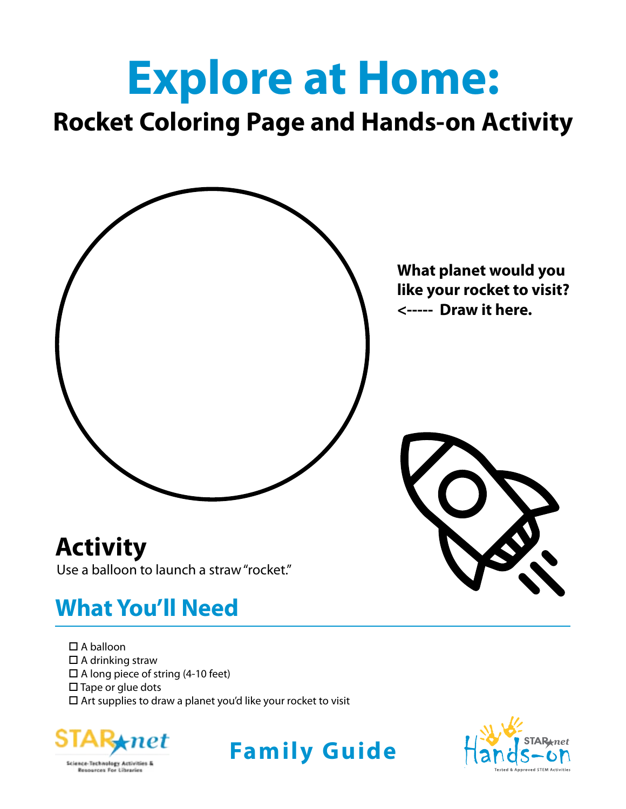# **Explore at Home:**

# **Rocket Coloring Page and Hands-on Activity**



# **What You'll Need**

- $\square$  A balloon
- $\square$  A drinking straw
- $\square$  A long piece of string (4-10 feet)
- $\square$  Tape or glue dots
- $\square$  Art supplies to draw a planet you'd like your rocket to visit